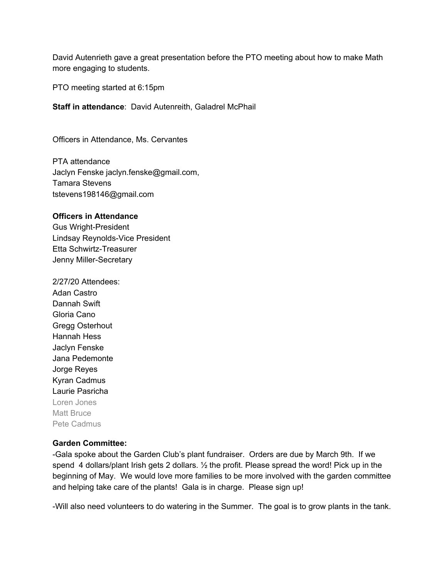David Autenrieth gave a great presentation before the PTO meeting about how to make Math more engaging to students.

PTO meeting started at 6:15pm

**Staff in attendance**: David Autenreith, Galadrel McPhail

Officers in Attendance, Ms. Cervantes

PTA attendance Jaclyn Fenske jaclyn.fenske@gmail.com, Tamara Stevens tstevens198146@gmail.com

## **Officers in Attendance**

Gus Wright-President Lindsay Reynolds-Vice President Etta Schwirtz-Treasurer Jenny Miller-Secretary

2/27/20 Attendees: Adan Castro Dannah Swift Gloria Cano Gregg Osterhout Hannah Hess Jaclyn Fenske Jana Pedemonte Jorge Reyes Kyran Cadmus Laurie Pasricha Loren Jones Matt Bruce Pete Cadmus

## **Garden Committee:**

-Gala spoke about the Garden Club's plant fundraiser. Orders are due by March 9th. If we spend 4 dollars/plant Irish gets 2 dollars.  $\frac{1}{2}$  the profit. Please spread the word! Pick up in the beginning of May. We would love more families to be more involved with the garden committee and helping take care of the plants! Gala is in charge. Please sign up!

-Will also need volunteers to do watering in the Summer. The goal is to grow plants in the tank.